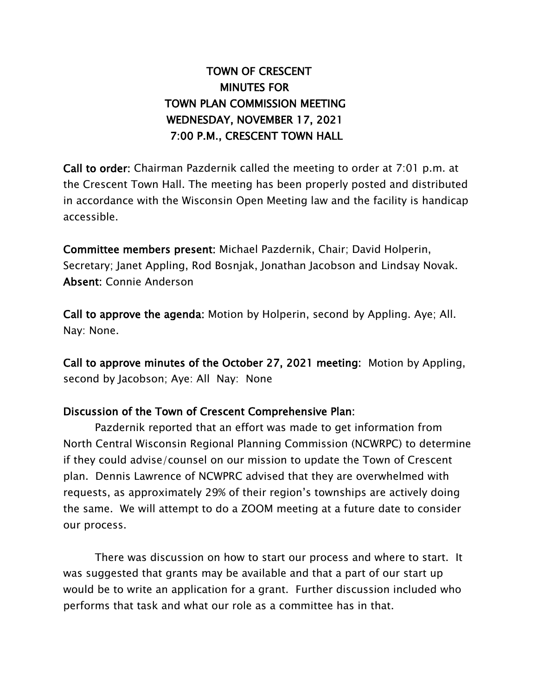## TOWN OF CRESCENT MINUTES FOR TOWN PLAN COMMISSION MEETING WEDNESDAY, NOVEMBER 17, 2021 7:00 P.M., CRESCENT TOWN HALL

Call to order: Chairman Pazdernik called the meeting to order at 7:01 p.m. at the Crescent Town Hall. The meeting has been properly posted and distributed in accordance with the Wisconsin Open Meeting law and the facility is handicap accessible.

Committee members present: Michael Pazdernik, Chair; David Holperin, Secretary; Janet Appling, Rod Bosnjak, Jonathan Jacobson and Lindsay Novak. Absent: Connie Anderson

Call to approve the agenda: Motion by Holperin, second by Appling. Aye; All. Nay: None.

Call to approve minutes of the October 27, 2021 meeting: Motion by Appling, second by Jacobson; Aye: All Nay: None

## Discussion of the Town of Crescent Comprehensive Plan:

Pazdernik reported that an effort was made to get information from North Central Wisconsin Regional Planning Commission (NCWRPC) to determine if they could advise/counsel on our mission to update the Town of Crescent plan. Dennis Lawrence of NCWPRC advised that they are overwhelmed with requests, as approximately 29% of their region's townships are actively doing the same. We will attempt to do a ZOOM meeting at a future date to consider our process.

There was discussion on how to start our process and where to start. It was suggested that grants may be available and that a part of our start up would be to write an application for a grant. Further discussion included who performs that task and what our role as a committee has in that.